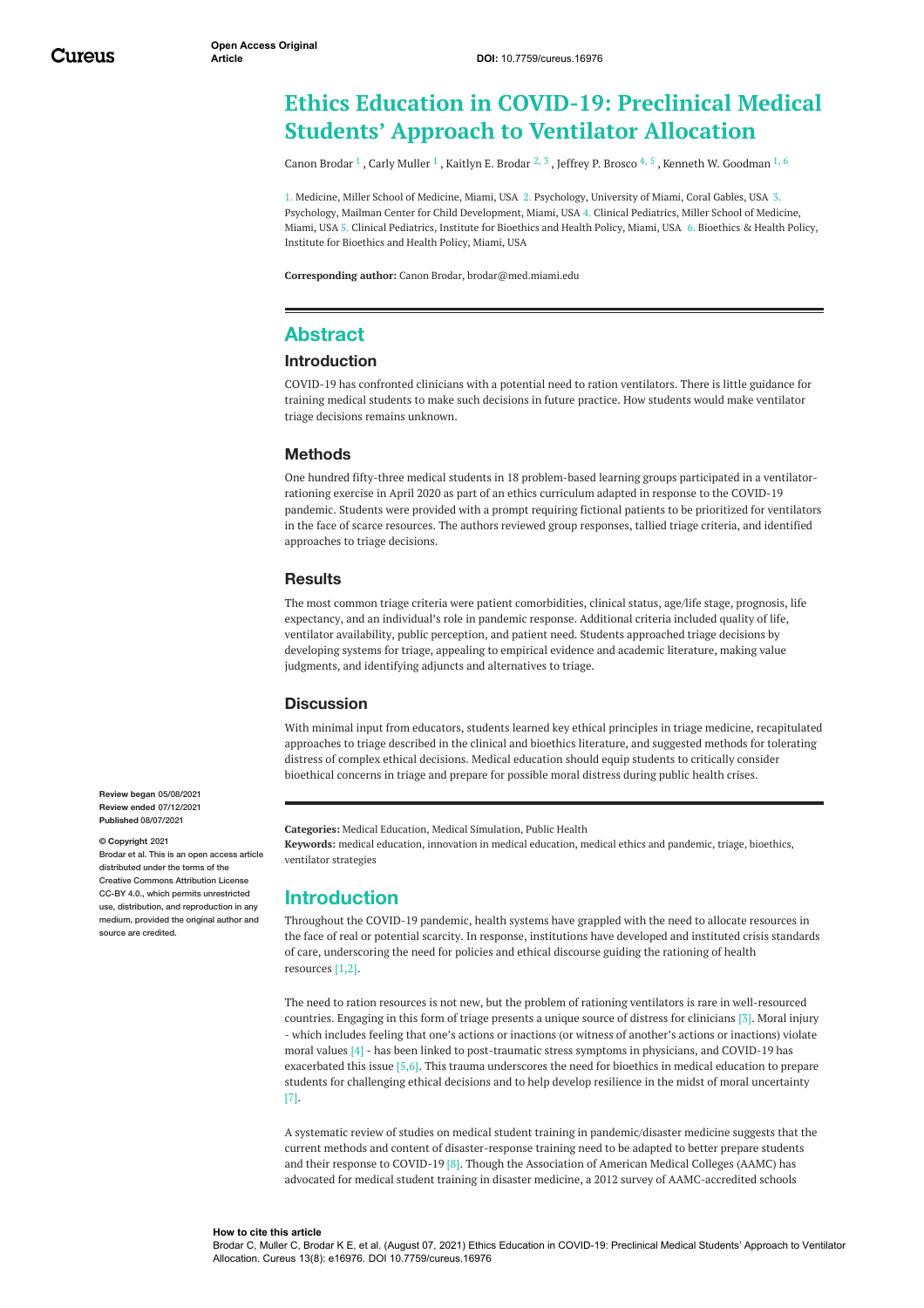# **Ethics Education in COVID-19: Preclinical Medical Students' Approach to Ventilator Allocation**

Canon [Brodar](https://www.cureus.com/users/243287-canon-brodar)  $^1$  , Carly [Muller](https://www.cureus.com/users/243297-carly-g-muller)  $^1$  , [Kaitlyn](https://www.cureus.com/users/243300-kaitlyn-brodar) E. Brodar  $^2$ ,  $^3$  , Jeffrey P. [Brosco](https://www.cureus.com/users/180742-jeffrey-brosco)  $^4$ ,  $^5$  , Kenneth W. [Goodman](https://www.cureus.com/users/12367-ken-goodman)  $^1$ ,  $^6$ 

1. Medicine, Miller School of Medicine, Miami, USA 2. Psychology, University of Miami, Coral Gables, USA 3. Psychology, Mailman Center for Child Development, Miami, USA 4. Clinical Pediatrics, Miller School of Medicine, Miami, USA 5. Clinical Pediatrics, Institute for Bioethics and Health Policy, Miami, USA 6. Bioethics & Health Policy, Institute for Bioethics and Health Policy, Miami, USA

**Corresponding author:** Canon Brodar, brodar@med.miami.edu

## **Abstract**

#### **Introduction**

COVID-19 has confronted clinicians with a potential need to ration ventilators. There is little guidance for training medical students to make such decisions in future practice. How students would make ventilator triage decisions remains unknown.

### **Methods**

One hundred fifty-three medical students in 18 problem-based learning groups participated in a ventilatorrationing exercise in April 2020 as part of an ethics curriculum adapted in response to the COVID-19 pandemic. Students were provided with a prompt requiring fictional patients to be prioritized for ventilators in the face of scarce resources. The authors reviewed group responses, tallied triage criteria, and identified approaches to triage decisions.

#### **Results**

The most common triage criteria were patient comorbidities, clinical status, age/life stage, prognosis, life expectancy, and an individual's role in pandemic response. Additional criteria included quality of life, ventilator availability, public perception, and patient need. Students approached triage decisions by developing systems for triage, appealing to empirical evidence and academic literature, making value judgments, and identifying adjuncts and alternatives to triage.

### **Discussion**

With minimal input from educators, students learned key ethical principles in triage medicine, recapitulated approaches to triage described in the clinical and bioethics literature, and suggested methods for tolerating distress of complex ethical decisions. Medical education should equip students to critically consider bioethical concerns in triage and prepare for possible moral distress during public health crises.

**Categories:** Medical Education, Medical Simulation, Public Health **Keywords:** medical education, innovation in medical education, medical ethics and pandemic, triage, bioethics, ventilator strategies

## **Introduction**

Throughout the COVID-19 pandemic, health systems have grappled with the need to allocate resources in the face of real or potential scarcity. In response, institutions have developed and instituted crisis standards of care, underscoring the need for policies and ethical discourse guiding the rationing of health resources [1,2].

The need to ration resources is not new, but the problem of rationing ventilators is rare in well-resourced countries. Engaging in this form of triage presents a unique source of distress for clinicians [3]. Moral injury - which includes feeling that one's actions or inactions (or witness of another's actions or inactions) violate moral values [4] - has been linked to post-traumatic stress symptoms in physicians, and COVID-19 has exacerbated this issue [5,6]. This trauma underscores the need for bioethics in medical education to prepare students for challenging ethical decisions and to help develop resilience in the midst of moral uncertainty [7].

A systematic review of studies on medical student training in pandemic/disaster medicine suggests that the current methods and content of disaster-response training need to be adapted to better prepare students and their response to COVID-19 [8]. Though the Association of American Medical Colleges (AAMC) has advocated for medical student training in disaster medicine, a 2012 survey of AAMC-accredited schools

**Review began** 05/08/2021 **Review ended** 07/12/2021 **Published** 08/07/2021

#### **© Copyright** 2021

Brodar et al. This is an open access article distributed under the terms of the Creative Commons Attribution License CC-BY 4.0., which permits unrestricted use, distribution, and reproduction in any medium, provided the original author and source are credited

#### **How to cite this article**

Brodar C, Muller C, Brodar K E, et al. (August 07, 2021) Ethics Education in COVID-19: Preclinical Medical Students' Approach to Ventilator Allocation. Cureus 13(8): e16976. DOI 10.7759/cureus.16976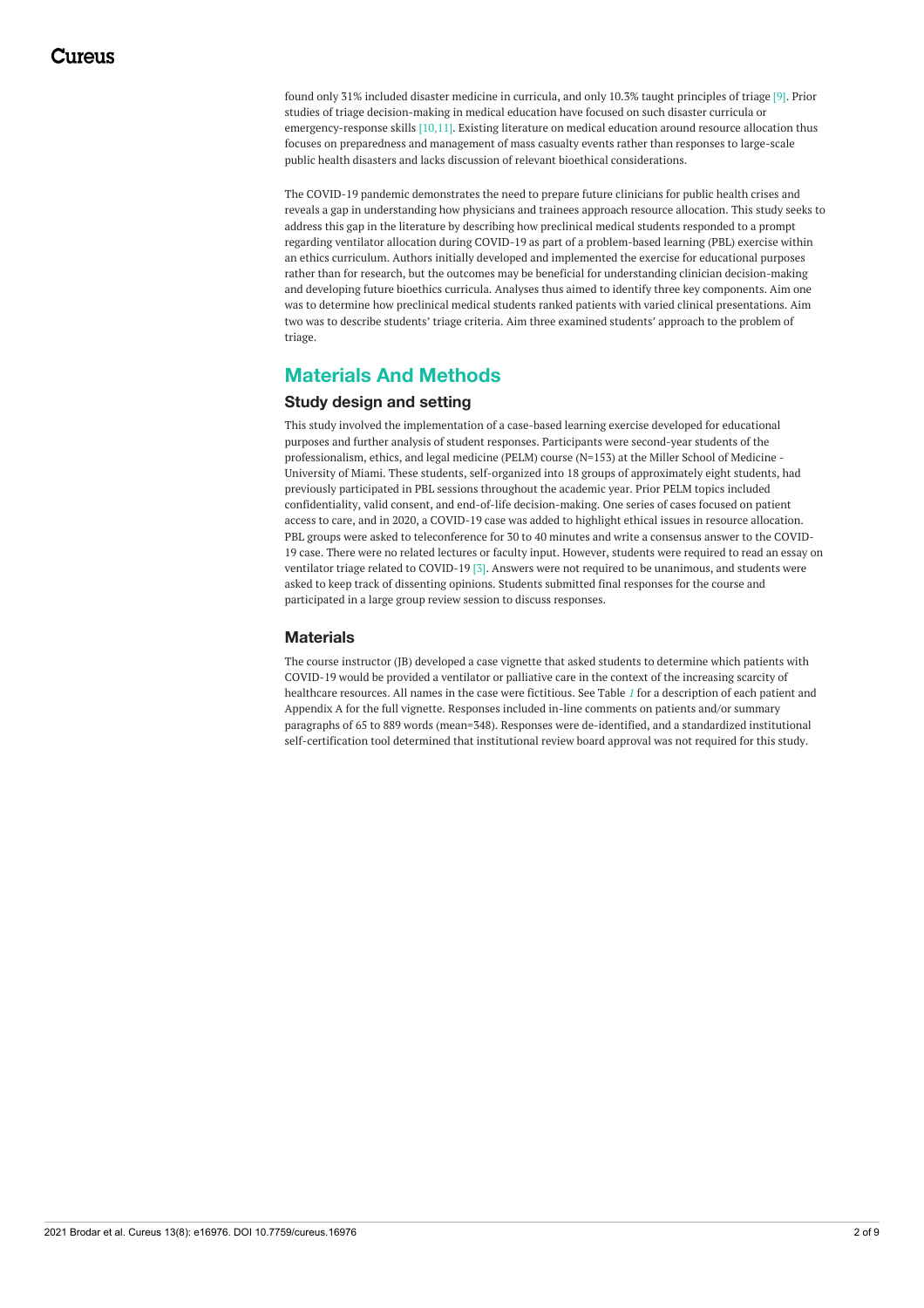found only 31% included disaster medicine in curricula, and only 10.3% taught principles of triage [9]. Prior studies of triage decision-making in medical education have focused on such disaster curricula or emergency-response skills [10,11]. Existing literature on medical education around resource allocation thus focuses on preparedness and management of mass casualty events rather than responses to large-scale public health disasters and lacks discussion of relevant bioethical considerations.

The COVID-19 pandemic demonstrates the need to prepare future clinicians for public health crises and reveals a gap in understanding how physicians and trainees approach resource allocation. This study seeks to address this gap in the literature by describing how preclinical medical students responded to a prompt regarding ventilator allocation during COVID-19 as part of a problem-based learning (PBL) exercise within an ethics curriculum. Authors initially developed and implemented the exercise for educational purposes rather than for research, but the outcomes may be beneficial for understanding clinician decision-making and developing future bioethics curricula. Analyses thus aimed to identify three key components. Aim one was to determine how preclinical medical students ranked patients with varied clinical presentations. Aim two was to describe students' triage criteria. Aim three examined students' approach to the problem of triage.

# **Materials And Methods**

## **Study design and setting**

This study involved the implementation of a case-based learning exercise developed for educational purposes and further analysis of student responses. Participants were second-year students of the professionalism, ethics, and legal medicine (PELM) course (N=153) at the Miller School of Medicine - University of Miami. These students, self-organized into 18 groups of approximately eight students, had previously participated in PBL sessions throughout the academic year. Prior PELM topics included confidentiality, valid consent, and end-of-life decision-making. One series of cases focused on patient access to care, and in 2020, a COVID-19 case was added to highlight ethical issues in resource allocation. PBL groups were asked to teleconference for 30 to 40 minutes and write a consensus answer to the COVID-19 case. There were no related lectures or faculty input. However, students were required to read an essay on ventilator triage related to COVID-19 [3]. Answers were not required to be unanimous, and students were asked to keep track of dissenting opinions. Students submitted final responses for the course and participated in a large group review session to discuss responses.

## **Materials**

The course instructor (JB) developed a case vignette that asked students to determine which patients with COVID-19 would be provided a ventilator or palliative care in the context of the increasing scarcity of healthcare resources. All names in the case were fictitious. See Table *[1](#page-2-0)* for a description of each patient and Appendix A for the full vignette. Responses included in-line comments on patients and/or summary paragraphs of 65 to 889 words (mean=348). Responses were de-identified, and a standardized institutional self-certification tool determined that institutional review board approval was not required for this study.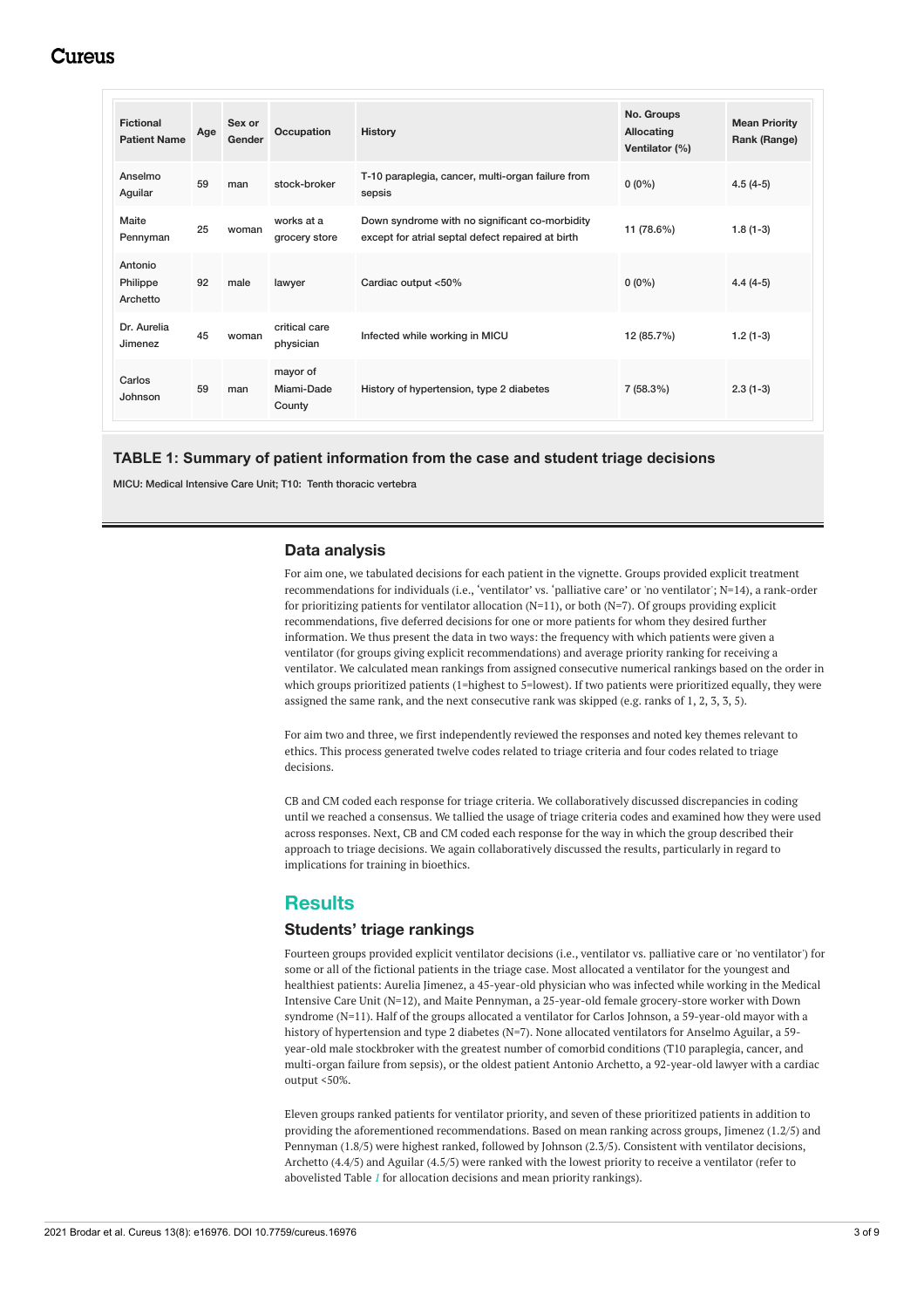# Cureus

<span id="page-2-0"></span>

| <b>Fictional</b><br><b>Patient Name</b> | Age | Sex or<br>Gender | Occupation                       | <b>History</b>                                                                                      | No. Groups<br>Allocating<br>Ventilator (%) | <b>Mean Priority</b><br>Rank (Range) |
|-----------------------------------------|-----|------------------|----------------------------------|-----------------------------------------------------------------------------------------------------|--------------------------------------------|--------------------------------------|
| Anselmo<br>Aguilar                      | 59  | man              | stock-broker                     | T-10 paraplegia, cancer, multi-organ failure from<br>sepsis                                         | $0(0\%)$                                   | $4.5(4-5)$                           |
| Maite<br>Pennyman                       | 25  | woman            | works at a<br>grocery store      | Down syndrome with no significant co-morbidity<br>except for atrial septal defect repaired at birth | 11 (78.6%)                                 | $1.8(1-3)$                           |
| Antonio<br>Philippe<br>Archetto         | 92  | male             | lawyer                           | Cardiac output <50%                                                                                 | $0(0\%)$                                   | $4.4(4-5)$                           |
| Dr. Aurelia<br>Jimenez                  | 45  | woman            | critical care<br>physician       | Infected while working in MICU                                                                      | 12 (85.7%)                                 | $1.2(1-3)$                           |
| Carlos<br>Johnson                       | 59  | man              | mayor of<br>Miami-Dade<br>County | History of hypertension, type 2 diabetes                                                            | $7(58.3\%)$                                | $2.3(1-3)$                           |

#### **TABLE 1: Summary of patient information from the case and student triage decisions**

MICU: Medical Intensive Care Unit; T10: Tenth thoracic vertebra

### **Data analysis**

For aim one, we tabulated decisions for each patient in the vignette. Groups provided explicit treatment recommendations for individuals (i.e., 'ventilator' vs. 'palliative care' or 'no ventilator'; N=14), a rank-order for prioritizing patients for ventilator allocation (N=11), or both (N=7). Of groups providing explicit recommendations, five deferred decisions for one or more patients for whom they desired further information. We thus present the data in two ways: the frequency with which patients were given a ventilator (for groups giving explicit recommendations) and average priority ranking for receiving a ventilator. We calculated mean rankings from assigned consecutive numerical rankings based on the order in which groups prioritized patients (1=highest to 5=lowest). If two patients were prioritized equally, they were assigned the same rank, and the next consecutive rank was skipped (e.g. ranks of 1, 2, 3, 3, 5).

For aim two and three, we first independently reviewed the responses and noted key themes relevant to ethics. This process generated twelve codes related to triage criteria and four codes related to triage decisions.

CB and CM coded each response for triage criteria. We collaboratively discussed discrepancies in coding until we reached a consensus. We tallied the usage of triage criteria codes and examined how they were used across responses. Next, CB and CM coded each response for the way in which the group described their approach to triage decisions. We again collaboratively discussed the results, particularly in regard to implications for training in bioethics.

## **Results**

### **Students' triage rankings**

Fourteen groups provided explicit ventilator decisions (i.e., ventilator vs. palliative care or 'no ventilator') for some or all of the fictional patients in the triage case. Most allocated a ventilator for the youngest and healthiest patients: Aurelia Jimenez, a 45-year-old physician who was infected while working in the Medical Intensive Care Unit (N=12), and Maite Pennyman, a 25-year-old female grocery-store worker with Down syndrome (N=11). Half of the groups allocated a ventilator for Carlos Johnson, a 59-year-old mayor with a history of hypertension and type 2 diabetes (N=7). None allocated ventilators for Anselmo Aguilar, a 59year-old male stockbroker with the greatest number of comorbid conditions (T10 paraplegia, cancer, and multi-organ failure from sepsis), or the oldest patient Antonio Archetto, a 92-year-old lawyer with a cardiac output <50%.

Eleven groups ranked patients for ventilator priority, and seven of these prioritized patients in addition to providing the aforementioned recommendations. Based on mean ranking across groups, Jimenez (1.2/5) and Pennyman (1.8/5) were highest ranked, followed by Johnson (2.3/5). Consistent with ventilator decisions, Archetto (4.4/5) and Aguilar (4.5/5) were ranked with the lowest priority to receive a ventilator (refer to abovelisted Table *[1](#page-2-0)* for allocation decisions and mean priority rankings).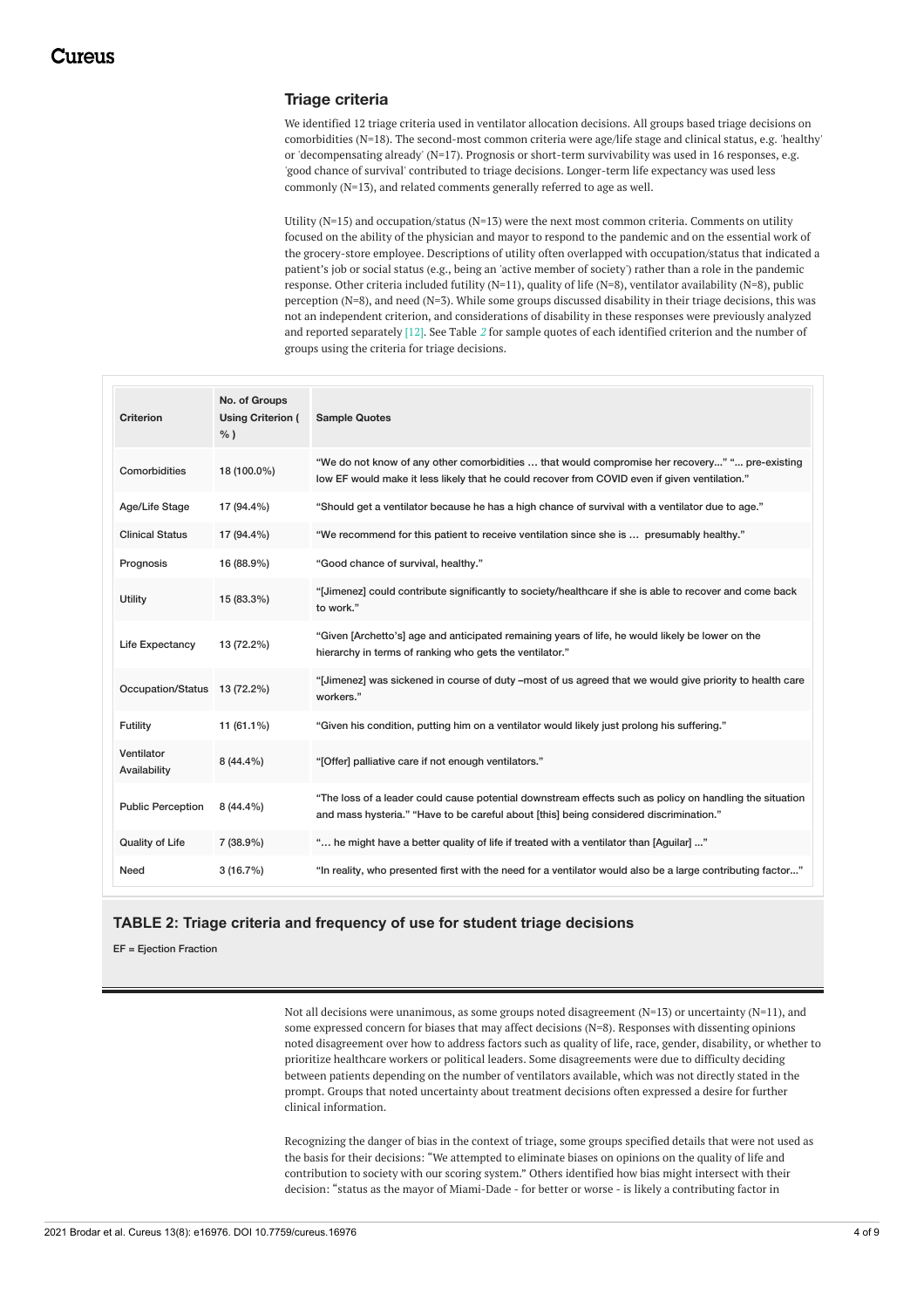### **Triage criteria**

We identified 12 triage criteria used in ventilator allocation decisions. All groups based triage decisions on comorbidities (N=18). The second-most common criteria were age/life stage and clinical status, e.g. 'healthy' or 'decompensating already' (N=17). Prognosis or short-term survivability was used in 16 responses, e.g. 'good chance of survival' contributed to triage decisions. Longer-term life expectancy was used less commonly (N=13), and related comments generally referred to age as well.

Utility (N=15) and occupation/status (N=13) were the next most common criteria. Comments on utility focused on the ability of the physician and mayor to respond to the pandemic and on the essential work of the grocery-store employee. Descriptions of utility often overlapped with occupation/status that indicated a patient's job or social status (e.g., being an 'active member of society') rather than a role in the pandemic response. Other criteria included futility (N=11), quality of life (N=8), ventilator availability (N=8), public perception (N=8), and need (N=3). While some groups discussed disability in their triage decisions, this was not an independent criterion, and considerations of disability in these responses were previously analyzed and reported separately [12]. See Table *[2](#page-3-0)* for sample quotes of each identified criterion and the number of groups using the criteria for triage decisions.

<span id="page-3-0"></span>

| Criterion                    | No. of Groups<br><b>Using Criterion (</b><br>$%$ ) | <b>Sample Quotes</b>                                                                                                                                                                              |
|------------------------------|----------------------------------------------------|---------------------------------------------------------------------------------------------------------------------------------------------------------------------------------------------------|
| Comorbidities                | 18 (100.0%)                                        | "We do not know of any other comorbidities  that would compromise her recovery" " pre-existing<br>low EF would make it less likely that he could recover from COVID even if given ventilation."   |
| Age/Life Stage               | 17 (94.4%)                                         | "Should get a ventilator because he has a high chance of survival with a ventilator due to age."                                                                                                  |
| <b>Clinical Status</b>       | 17 (94.4%)                                         | "We recommend for this patient to receive ventilation since she is  presumably healthy."                                                                                                          |
| Prognosis                    | 16 (88.9%)                                         | "Good chance of survival, healthy."                                                                                                                                                               |
| Utility                      | 15 (83.3%)                                         | "[Jimenez] could contribute significantly to society/healthcare if she is able to recover and come back<br>to work."                                                                              |
| Life Expectancy              | 13 (72.2%)                                         | "Given [Archetto's] age and anticipated remaining years of life, he would likely be lower on the<br>hierarchy in terms of ranking who gets the ventilator."                                       |
| Occupation/Status 13 (72.2%) |                                                    | "[Jimenez] was sickened in course of duty -most of us agreed that we would give priority to health care<br>workers."                                                                              |
| Futility                     | $11(61.1\%)$                                       | "Given his condition, putting him on a ventilator would likely just prolong his suffering."                                                                                                       |
| Ventilator<br>Availability   | 8 (44.4%)                                          | "[Offer] palliative care if not enough ventilators."                                                                                                                                              |
| <b>Public Perception</b>     | 8 (44.4%)                                          | "The loss of a leader could cause potential downstream effects such as policy on handling the situation<br>and mass hysteria." "Have to be careful about [this] being considered discrimination." |
| Quality of Life              | 7 (38.9%)                                          | " he might have a better quality of life if treated with a ventilator than [Aguilar] "                                                                                                            |
| Need                         | 3(16.7%)                                           | "In reality, who presented first with the need for a ventilator would also be a large contributing factor"                                                                                        |

### **TABLE 2: Triage criteria and frequency of use for student triage decisions**

EF = Ejection Fraction

Not all decisions were unanimous, as some groups noted disagreement (N=13) or uncertainty (N=11), and some expressed concern for biases that may affect decisions (N=8). Responses with dissenting opinions noted disagreement over how to address factors such as quality of life, race, gender, disability, or whether to prioritize healthcare workers or political leaders. Some disagreements were due to difficulty deciding between patients depending on the number of ventilators available, which was not directly stated in the prompt. Groups that noted uncertainty about treatment decisions often expressed a desire for further clinical information.

Recognizing the danger of bias in the context of triage, some groups specified details that were not used as the basis for their decisions: "We attempted to eliminate biases on opinions on the quality of life and contribution to society with our scoring system." Others identified how bias might intersect with their decision: "status as the mayor of Miami-Dade - for better or worse - is likely a contributing factor in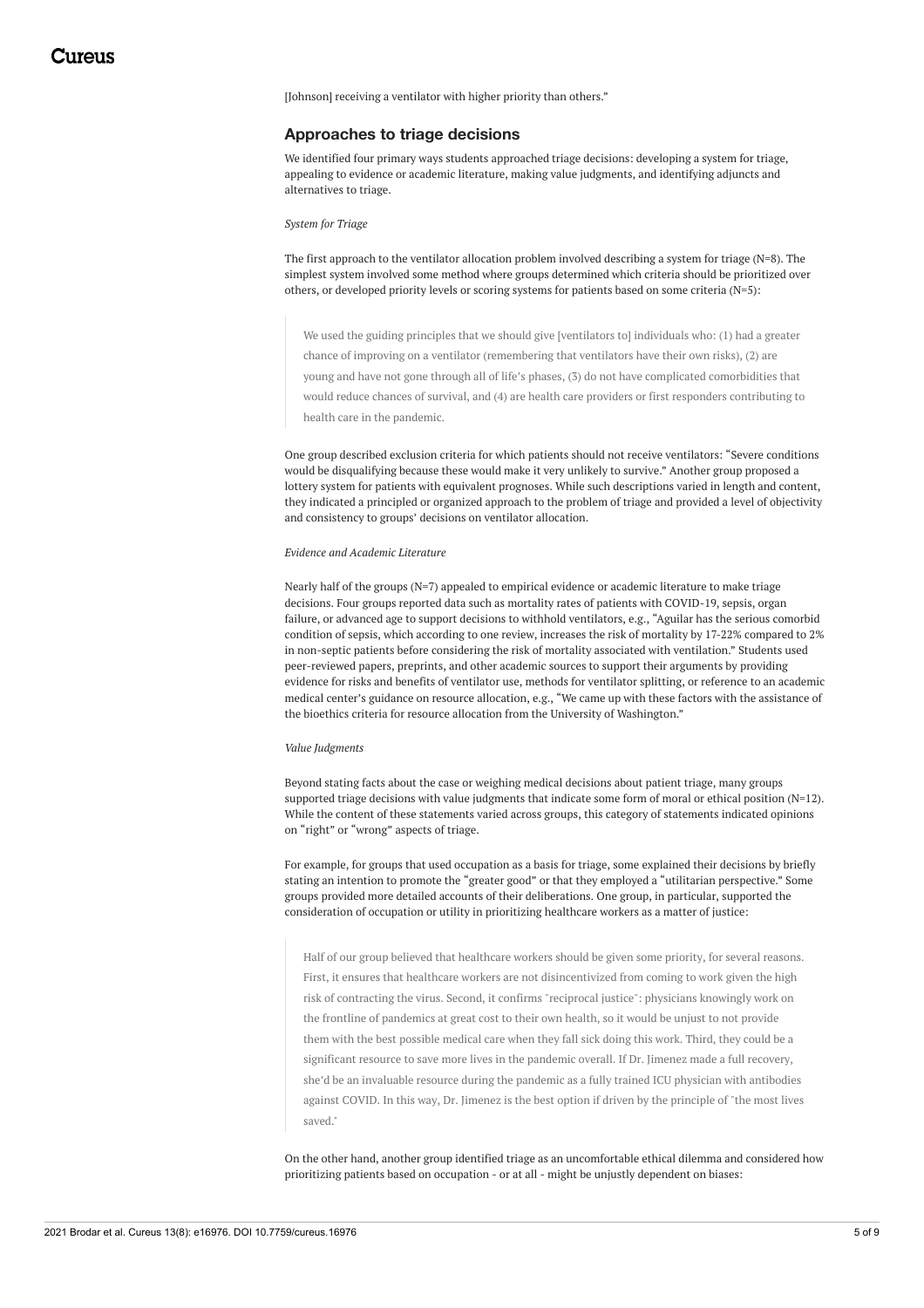[Johnson] receiving a ventilator with higher priority than others."

#### **Approaches to triage decisions**

We identified four primary ways students approached triage decisions: developing a system for triage, appealing to evidence or academic literature, making value judgments, and identifying adjuncts and alternatives to triage.

#### *System for Triage*

The first approach to the ventilator allocation problem involved describing a system for triage (N=8). The simplest system involved some method where groups determined which criteria should be prioritized over others, or developed priority levels or scoring systems for patients based on some criteria (N=5):

We used the guiding principles that we should give [ventilators to] individuals who: (1) had a greater chance of improving on a ventilator (remembering that ventilators have their own risks), (2) are young and have not gone through all of life's phases, (3) do not have complicated comorbidities that would reduce chances of survival, and (4) are health care providers or first responders contributing to health care in the pandemic.

One group described exclusion criteria for which patients should not receive ventilators: "Severe conditions would be disqualifying because these would make it very unlikely to survive." Another group proposed a lottery system for patients with equivalent prognoses. While such descriptions varied in length and content, they indicated a principled or organized approach to the problem of triage and provided a level of objectivity and consistency to groups' decisions on ventilator allocation.

#### *Evidence and Academic Literature*

Nearly half of the groups (N=7) appealed to empirical evidence or academic literature to make triage decisions. Four groups reported data such as mortality rates of patients with COVID-19, sepsis, organ failure, or advanced age to support decisions to withhold ventilators, e.g., "Aguilar has the serious comorbid condition of sepsis, which according to one review, increases the risk of mortality by 17-22% compared to 2% in non-septic patients before considering the risk of mortality associated with ventilation." Students used peer-reviewed papers, preprints, and other academic sources to support their arguments by providing evidence for risks and benefits of ventilator use, methods for ventilator splitting, or reference to an academic medical center's guidance on resource allocation, e.g., "We came up with these factors with the assistance of the bioethics criteria for resource allocation from the University of Washington."

#### *Value Judgments*

Beyond stating facts about the case or weighing medical decisions about patient triage, many groups supported triage decisions with value judgments that indicate some form of moral or ethical position (N=12). While the content of these statements varied across groups, this category of statements indicated opinions on "right" or "wrong" aspects of triage.

For example, for groups that used occupation as a basis for triage, some explained their decisions by briefly stating an intention to promote the "greater good" or that they employed a "utilitarian perspective." Some groups provided more detailed accounts of their deliberations. One group, in particular, supported the consideration of occupation or utility in prioritizing healthcare workers as a matter of justice:

Half of our group believed that healthcare workers should be given some priority, for several reasons. First, it ensures that healthcare workers are not disincentivized from coming to work given the high risk of contracting the virus. Second, it confirms "reciprocal justice": physicians knowingly work on the frontline of pandemics at great cost to their own health, so it would be unjust to not provide them with the best possible medical care when they fall sick doing this work. Third, they could be a significant resource to save more lives in the pandemic overall. If Dr. Jimenez made a full recovery, she'd be an invaluable resource during the pandemic as a fully trained ICU physician with antibodies against COVID. In this way, Dr. Jimenez is the best option if driven by the principle of "the most lives saved."

On the other hand, another group identified triage as an uncomfortable ethical dilemma and considered how prioritizing patients based on occupation - or at all - might be unjustly dependent on biases: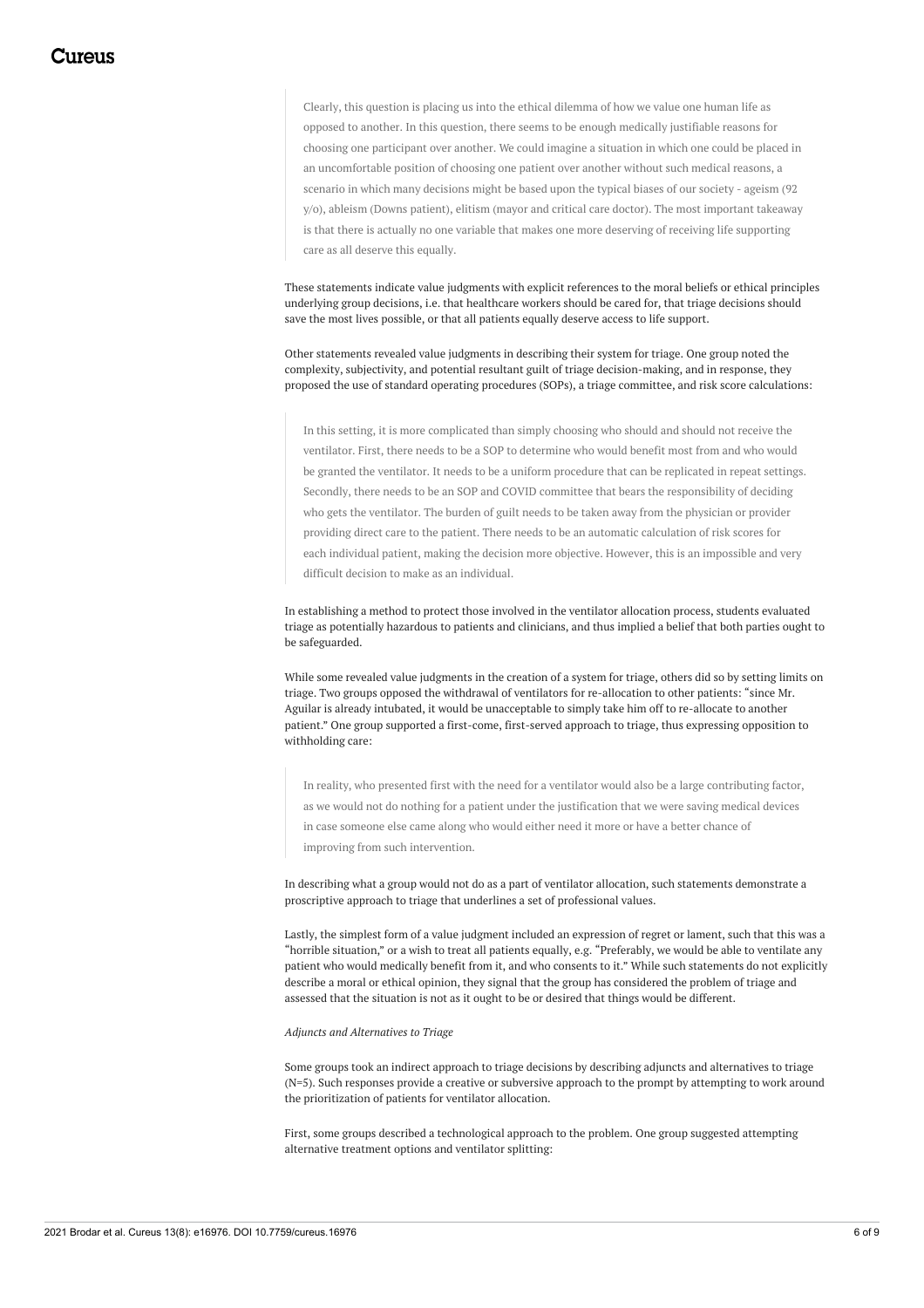Clearly, this question is placing us into the ethical dilemma of how we value one human life as opposed to another. In this question, there seems to be enough medically justifiable reasons for choosing one participant over another. We could imagine a situation in which one could be placed in an uncomfortable position of choosing one patient over another without such medical reasons, a scenario in which many decisions might be based upon the typical biases of our society - ageism (92 y/o), ableism (Downs patient), elitism (mayor and critical care doctor). The most important takeaway is that there is actually no one variable that makes one more deserving of receiving life supporting care as all deserve this equally.

These statements indicate value judgments with explicit references to the moral beliefs or ethical principles underlying group decisions, i.e. that healthcare workers should be cared for, that triage decisions should save the most lives possible, or that all patients equally deserve access to life support.

Other statements revealed value judgments in describing their system for triage. One group noted the complexity, subjectivity, and potential resultant guilt of triage decision-making, and in response, they proposed the use of standard operating procedures (SOPs), a triage committee, and risk score calculations:

In this setting, it is more complicated than simply choosing who should and should not receive the ventilator. First, there needs to be a SOP to determine who would benefit most from and who would be granted the ventilator. It needs to be a uniform procedure that can be replicated in repeat settings. Secondly, there needs to be an SOP and COVID committee that bears the responsibility of deciding who gets the ventilator. The burden of guilt needs to be taken away from the physician or provider providing direct care to the patient. There needs to be an automatic calculation of risk scores for each individual patient, making the decision more objective. However, this is an impossible and very difficult decision to make as an individual.

In establishing a method to protect those involved in the ventilator allocation process, students evaluated triage as potentially hazardous to patients and clinicians, and thus implied a belief that both parties ought to be safeguarded.

While some revealed value judgments in the creation of a system for triage, others did so by setting limits on triage. Two groups opposed the withdrawal of ventilators for re-allocation to other patients: "since Mr. Aguilar is already intubated, it would be unacceptable to simply take him off to re-allocate to another patient." One group supported a first-come, first-served approach to triage, thus expressing opposition to withholding care:

In reality, who presented first with the need for a ventilator would also be a large contributing factor, as we would not do nothing for a patient under the justification that we were saving medical devices in case someone else came along who would either need it more or have a better chance of improving from such intervention.

In describing what a group would not do as a part of ventilator allocation, such statements demonstrate a proscriptive approach to triage that underlines a set of professional values.

Lastly, the simplest form of a value judgment included an expression of regret or lament, such that this was a "horrible situation," or a wish to treat all patients equally, e.g. "Preferably, we would be able to ventilate any patient who would medically benefit from it, and who consents to it." While such statements do not explicitly describe a moral or ethical opinion, they signal that the group has considered the problem of triage and assessed that the situation is not as it ought to be or desired that things would be different.

#### *Adjuncts and Alternatives to Triage*

Some groups took an indirect approach to triage decisions by describing adjuncts and alternatives to triage (N=5). Such responses provide a creative or subversive approach to the prompt by attempting to work around the prioritization of patients for ventilator allocation.

First, some groups described a technological approach to the problem. One group suggested attempting alternative treatment options and ventilator splitting: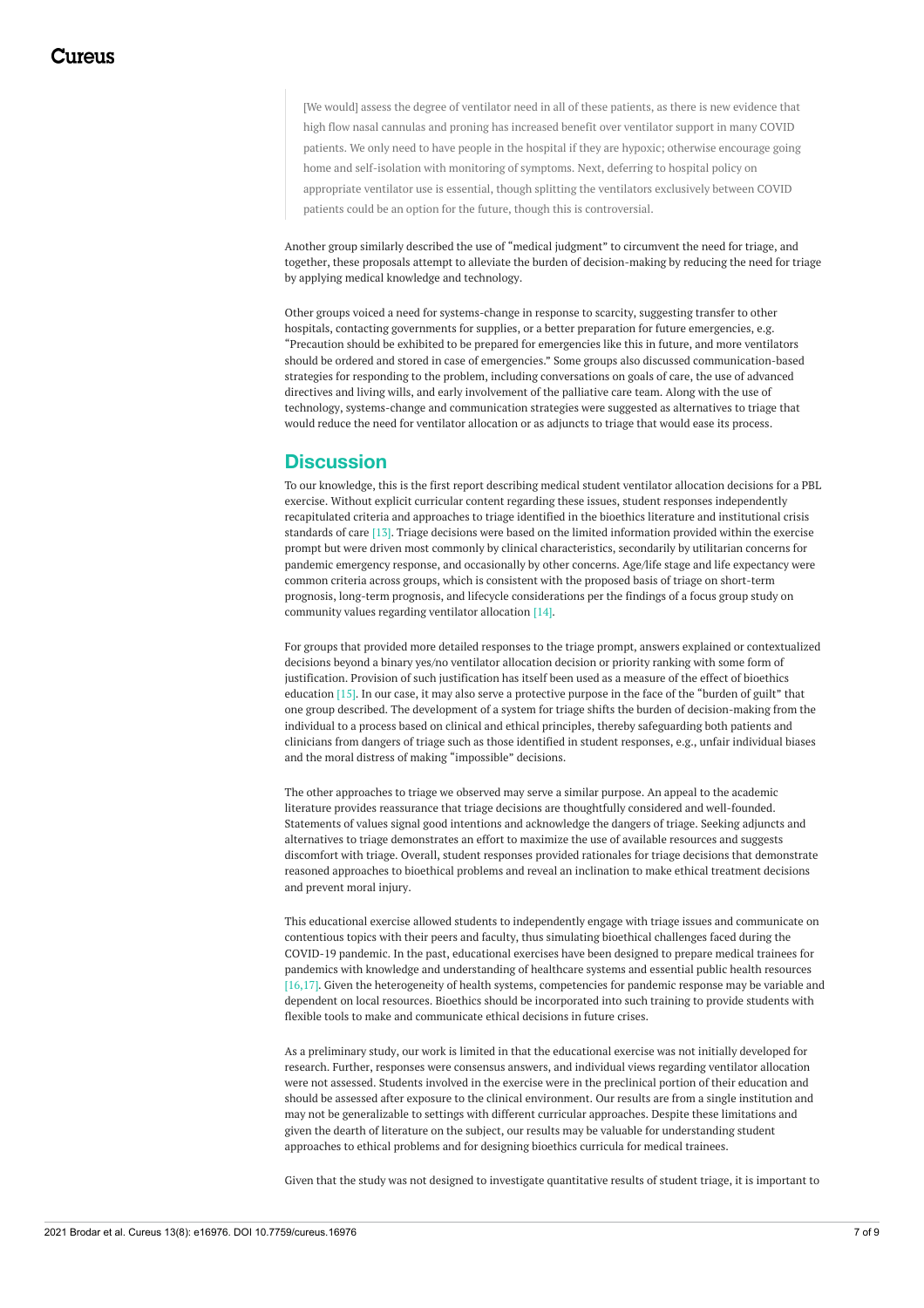[We would] assess the degree of ventilator need in all of these patients, as there is new evidence that high flow nasal cannulas and proning has increased benefit over ventilator support in many COVID patients. We only need to have people in the hospital if they are hypoxic; otherwise encourage going home and self-isolation with monitoring of symptoms. Next, deferring to hospital policy on appropriate ventilator use is essential, though splitting the ventilators exclusively between COVID patients could be an option for the future, though this is controversial.

Another group similarly described the use of "medical judgment" to circumvent the need for triage, and together, these proposals attempt to alleviate the burden of decision-making by reducing the need for triage by applying medical knowledge and technology.

Other groups voiced a need for systems-change in response to scarcity, suggesting transfer to other hospitals, contacting governments for supplies, or a better preparation for future emergencies, e.g. "Precaution should be exhibited to be prepared for emergencies like this in future, and more ventilators should be ordered and stored in case of emergencies." Some groups also discussed communication-based strategies for responding to the problem, including conversations on goals of care, the use of advanced directives and living wills, and early involvement of the palliative care team. Along with the use of technology, systems-change and communication strategies were suggested as alternatives to triage that would reduce the need for ventilator allocation or as adjuncts to triage that would ease its process.

## **Discussion**

To our knowledge, this is the first report describing medical student ventilator allocation decisions for a PBL exercise. Without explicit curricular content regarding these issues, student responses independently recapitulated criteria and approaches to triage identified in the bioethics literature and institutional crisis standards of care [13]. Triage decisions were based on the limited information provided within the exercise prompt but were driven most commonly by clinical characteristics, secondarily by utilitarian concerns for pandemic emergency response, and occasionally by other concerns. Age/life stage and life expectancy were common criteria across groups, which is consistent with the proposed basis of triage on short-term prognosis, long-term prognosis, and lifecycle considerations per the findings of a focus group study on community values regarding ventilator allocation [14].

For groups that provided more detailed responses to the triage prompt, answers explained or contextualized decisions beyond a binary yes/no ventilator allocation decision or priority ranking with some form of justification. Provision of such justification has itself been used as a measure of the effect of bioethics education [15]. In our case, it may also serve a protective purpose in the face of the "burden of guilt" that one group described. The development of a system for triage shifts the burden of decision-making from the individual to a process based on clinical and ethical principles, thereby safeguarding both patients and clinicians from dangers of triage such as those identified in student responses, e.g., unfair individual biases and the moral distress of making "impossible" decisions.

The other approaches to triage we observed may serve a similar purpose. An appeal to the academic literature provides reassurance that triage decisions are thoughtfully considered and well-founded. Statements of values signal good intentions and acknowledge the dangers of triage. Seeking adjuncts and alternatives to triage demonstrates an effort to maximize the use of available resources and suggests discomfort with triage. Overall, student responses provided rationales for triage decisions that demonstrate reasoned approaches to bioethical problems and reveal an inclination to make ethical treatment decisions and prevent moral injury.

This educational exercise allowed students to independently engage with triage issues and communicate on contentious topics with their peers and faculty, thus simulating bioethical challenges faced during the COVID-19 pandemic. In the past, educational exercises have been designed to prepare medical trainees for pandemics with knowledge and understanding of healthcare systems and essential public health resources [16,17]. Given the heterogeneity of health systems, competencies for pandemic response may be variable and dependent on local resources. Bioethics should be incorporated into such training to provide students with flexible tools to make and communicate ethical decisions in future crises.

As a preliminary study, our work is limited in that the educational exercise was not initially developed for research. Further, responses were consensus answers, and individual views regarding ventilator allocation were not assessed. Students involved in the exercise were in the preclinical portion of their education and should be assessed after exposure to the clinical environment. Our results are from a single institution and may not be generalizable to settings with different curricular approaches. Despite these limitations and given the dearth of literature on the subject, our results may be valuable for understanding student approaches to ethical problems and for designing bioethics curricula for medical trainees.

Given that the study was not designed to investigate quantitative results of student triage, it is important to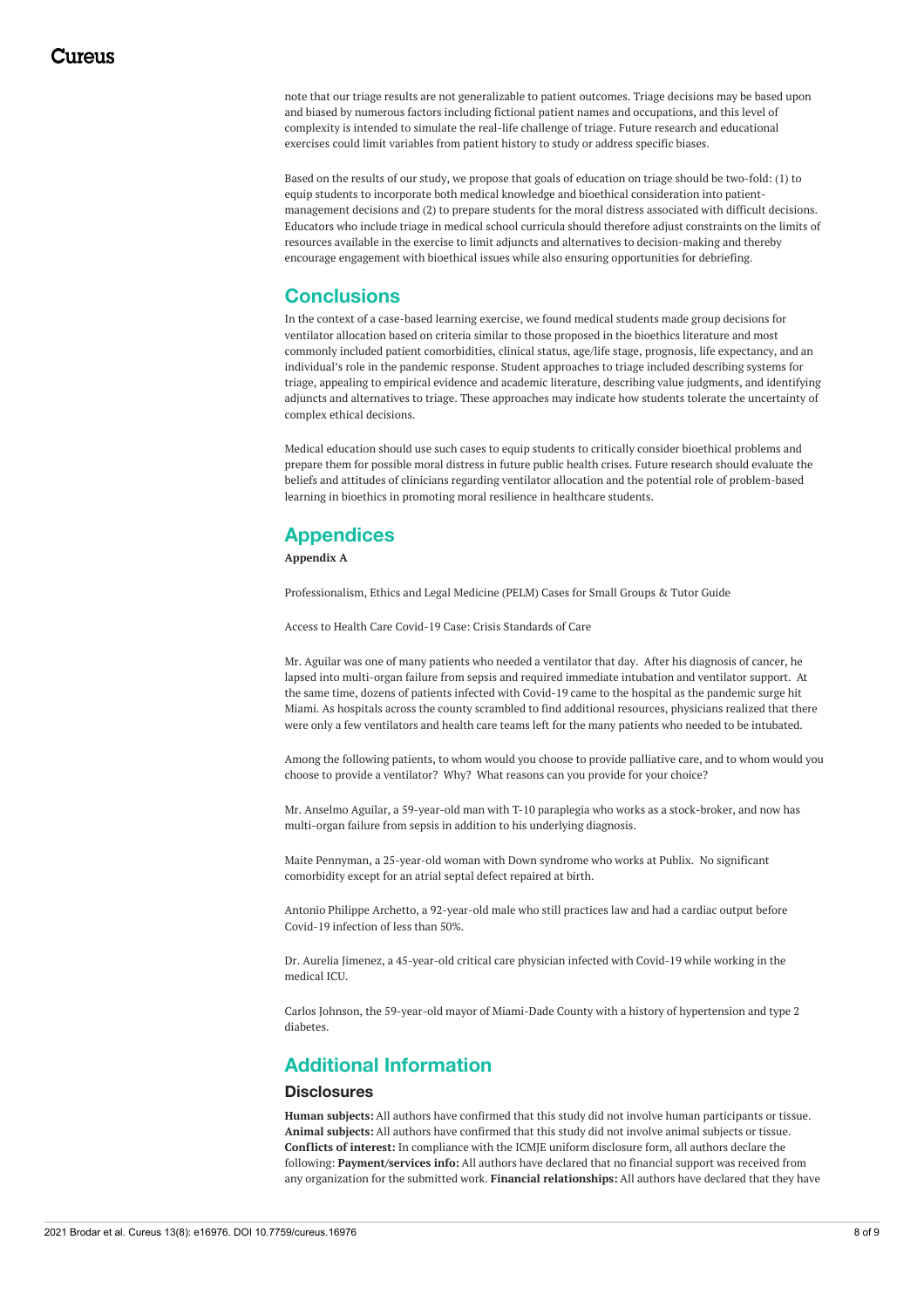note that our triage results are not generalizable to patient outcomes. Triage decisions may be based upon and biased by numerous factors including fictional patient names and occupations, and this level of complexity is intended to simulate the real-life challenge of triage. Future research and educational exercises could limit variables from patient history to study or address specific biases.

Based on the results of our study, we propose that goals of education on triage should be two-fold: (1) to equip students to incorporate both medical knowledge and bioethical consideration into patientmanagement decisions and (2) to prepare students for the moral distress associated with difficult decisions. Educators who include triage in medical school curricula should therefore adjust constraints on the limits of resources available in the exercise to limit adjuncts and alternatives to decision-making and thereby encourage engagement with bioethical issues while also ensuring opportunities for debriefing.

# **Conclusions**

In the context of a case-based learning exercise, we found medical students made group decisions for ventilator allocation based on criteria similar to those proposed in the bioethics literature and most commonly included patient comorbidities, clinical status, age/life stage, prognosis, life expectancy, and an individual's role in the pandemic response. Student approaches to triage included describing systems for triage, appealing to empirical evidence and academic literature, describing value judgments, and identifying adjuncts and alternatives to triage. These approaches may indicate how students tolerate the uncertainty of complex ethical decisions.

Medical education should use such cases to equip students to critically consider bioethical problems and prepare them for possible moral distress in future public health crises. Future research should evaluate the beliefs and attitudes of clinicians regarding ventilator allocation and the potential role of problem-based learning in bioethics in promoting moral resilience in healthcare students.

# **Appendices**

**Appendix A**

Professionalism, Ethics and Legal Medicine (PELM) Cases for Small Groups & Tutor Guide

Access to Health Care Covid-19 Case: Crisis Standards of Care

Mr. Aguilar was one of many patients who needed a ventilator that day. After his diagnosis of cancer, he lapsed into multi-organ failure from sepsis and required immediate intubation and ventilator support. At the same time, dozens of patients infected with Covid-19 came to the hospital as the pandemic surge hit Miami. As hospitals across the county scrambled to find additional resources, physicians realized that there were only a few ventilators and health care teams left for the many patients who needed to be intubated.

Among the following patients, to whom would you choose to provide palliative care, and to whom would you choose to provide a ventilator? Why? What reasons can you provide for your choice?

Mr. Anselmo Aguilar, a 59-year-old man with T-10 paraplegia who works as a stock-broker, and now has multi-organ failure from sepsis in addition to his underlying diagnosis.

Maite Pennyman, a 25-year-old woman with Down syndrome who works at Publix. No significant comorbidity except for an atrial septal defect repaired at birth.

Antonio Philippe Archetto, a 92-year-old male who still practices law and had a cardiac output before Covid-19 infection of less than 50%.

Dr. Aurelia Jimenez, a 45-year-old critical care physician infected with Covid-19 while working in the medical ICU.

Carlos Johnson, the 59-year-old mayor of Miami-Dade County with a history of hypertension and type 2 diabetes.

# **Additional Information**

### **Disclosures**

**Human subjects:** All authors have confirmed that this study did not involve human participants or tissue. **Animal subjects:** All authors have confirmed that this study did not involve animal subjects or tissue. **Conflicts of interest:** In compliance with the ICMJE uniform disclosure form, all authors declare the following: **Payment/services info:** All authors have declared that no financial support was received from any organization for the submitted work. **Financial relationships:** All authors have declared that they have